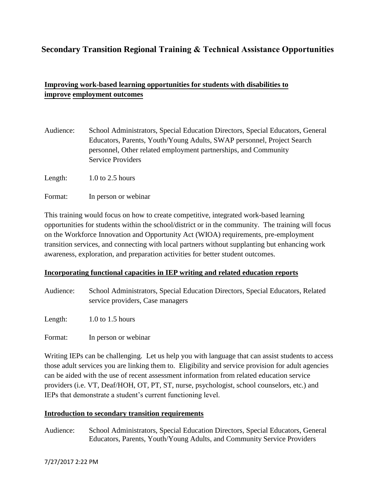# **Secondary Transition Regional Training & Technical Assistance Opportunities**

# **Improving work-based learning opportunities for students with disabilities to improve employment outcomes**

| Audience: | School Administrators, Special Education Directors, Special Educators, General |
|-----------|--------------------------------------------------------------------------------|
|           | Educators, Parents, Youth/Young Adults, SWAP personnel, Project Search         |
|           | personnel, Other related employment partnerships, and Community                |
|           | <b>Service Providers</b>                                                       |
|           |                                                                                |

Length: 1.0 to 2.5 hours

Format: In person or webinar

This training would focus on how to create competitive, integrated work-based learning opportunities for students within the school/district or in the community. The training will focus on the Workforce Innovation and Opportunity Act (WIOA) requirements, pre-employment transition services, and connecting with local partners without supplanting but enhancing work awareness, exploration, and preparation activities for better student outcomes.

# **Incorporating functional capacities in IEP writing and related education reports**

Audience: School Administrators, Special Education Directors, Special Educators, Related service providers, Case managers

Length: 1.0 to 1.5 hours

Format: In person or webinar

Writing IEPs can be challenging. Let us help you with language that can assist students to access those adult services you are linking them to. Eligibility and service provision for adult agencies can be aided with the use of recent assessment information from related education service providers (i.e. VT, Deaf/HOH, OT, PT, ST, nurse, psychologist, school counselors, etc.) and IEPs that demonstrate a student's current functioning level.

## **Introduction to secondary transition requirements**

Audience: School Administrators, Special Education Directors, Special Educators, General Educators, Parents, Youth/Young Adults, and Community Service Providers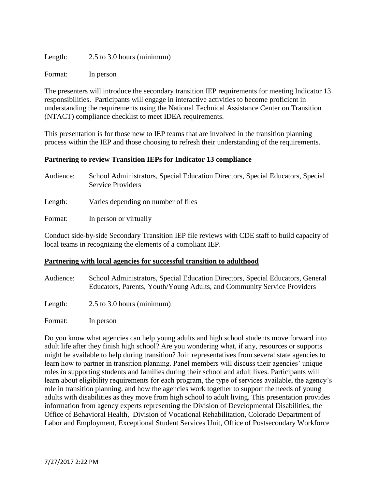| Length: | $2.5$ to 3.0 hours (minimum) |  |
|---------|------------------------------|--|
|         |                              |  |

Format: In person

The presenters will introduce the secondary transition IEP requirements for meeting Indicator 13 responsibilities. Participants will engage in interactive activities to become proficient in understanding the requirements using the National Technical Assistance Center on Transition (NTACT) compliance checklist to meet IDEA requirements.

This presentation is for those new to IEP teams that are involved in the transition planning process within the IEP and those choosing to refresh their understanding of the requirements.

## **Partnering to review Transition IEPs for Indicator 13 compliance**

| Audience: | School Administrators, Special Education Directors, Special Educators, Special<br><b>Service Providers</b> |
|-----------|------------------------------------------------------------------------------------------------------------|
| Length:   | Varies depending on number of files                                                                        |
| Format:   | In person or virtually                                                                                     |

Conduct side-by-side Secondary Transition IEP file reviews with CDE staff to build capacity of local teams in recognizing the elements of a compliant IEP.

## **Partnering with local agencies for successful transition to adulthood**

Audience: School Administrators, Special Education Directors, Special Educators, General Educators, Parents, Youth/Young Adults, and Community Service Providers Length: 2.5 to 3.0 hours (minimum)

Format: In person

Do you know what agencies can help young adults and high school students move forward into adult life after they finish high school? Are you wondering what, if any, resources or supports might be available to help during transition? Join representatives from several state agencies to learn how to partner in transition planning. Panel members will discuss their agencies' unique roles in supporting students and families during their school and adult lives. Participants will learn about eligibility requirements for each program, the type of services available, the agency's role in transition planning, and how the agencies work together to support the needs of young adults with disabilities as they move from high school to adult living. This presentation provides information from agency experts representing the Division of Developmental Disabilities, the Office of Behavioral Health, Division of Vocational Rehabilitation, Colorado Department of Labor and Employment, Exceptional Student Services Unit, Office of Postsecondary Workforce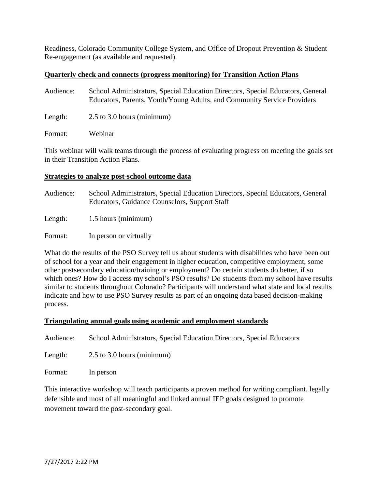Readiness, Colorado Community College System, and Office of Dropout Prevention & Student Re-engagement (as available and requested).

### **Quarterly check and connects (progress monitoring) for Transition Action Plans**

| Audience: | School Administrators, Special Education Directors, Special Educators, General<br>Educators, Parents, Youth/Young Adults, and Community Service Providers |
|-----------|-----------------------------------------------------------------------------------------------------------------------------------------------------------|
| Length:   | $2.5$ to 3.0 hours (minimum)                                                                                                                              |
| Format:   | Webinar                                                                                                                                                   |

This webinar will walk teams through the process of evaluating progress on meeting the goals set in their Transition Action Plans.

#### **Strategies to analyze post-school outcome data**

| Audience: | School Administrators, Special Education Directors, Special Educators, General<br>Educators, Guidance Counselors, Support Staff |
|-----------|---------------------------------------------------------------------------------------------------------------------------------|
| Length:   | 1.5 hours (minimum)                                                                                                             |
| Format:   | In person or virtually                                                                                                          |

What do the results of the PSO Survey tell us about students with disabilities who have been out of school for a year and their engagement in higher education, competitive employment, some other postsecondary education/training or employment? Do certain students do better, if so which ones? How do I access my school's PSO results? Do students from my school have results similar to students throughout Colorado? Participants will understand what state and local results indicate and how to use PSO Survey results as part of an ongoing data based decision-making process.

#### **Triangulating annual goals using academic and employment standards**

Audience: School Administrators, Special Education Directors, Special Educators

Length: 2.5 to 3.0 hours (minimum)

Format: In person

This interactive workshop will teach participants a proven method for writing compliant, legally defensible and most of all meaningful and linked annual IEP goals designed to promote movement toward the post-secondary goal.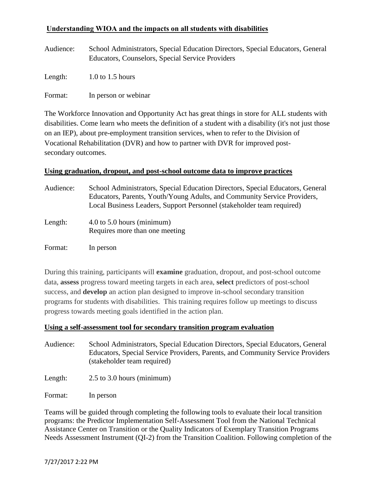# **Understanding WIOA and the impacts on all students with disabilities**

Audience: School Administrators, Special Education Directors, Special Educators, General Educators, Counselors, Special Service Providers

Length:  $1.0$  to 1.5 hours

Format: In person or webinar

The Workforce Innovation and Opportunity Act has great things in store for ALL students with disabilities. Come learn who meets the definition of a student with a disability (it's not just those on an IEP), about pre-employment transition services, when to refer to the Division of Vocational Rehabilitation (DVR) and how to partner with DVR for improved postsecondary outcomes.

## **Using graduation, dropout, and post-school outcome data to improve practices**

| Audience: | School Administrators, Special Education Directors, Special Educators, General<br>Educators, Parents, Youth/Young Adults, and Community Service Providers,<br>Local Business Leaders, Support Personnel (stakeholder team required) |
|-----------|-------------------------------------------------------------------------------------------------------------------------------------------------------------------------------------------------------------------------------------|
| Length:   | $4.0$ to $5.0$ hours (minimum)<br>Requires more than one meeting                                                                                                                                                                    |
| Format:   | In person                                                                                                                                                                                                                           |

During this training, participants will **examine** graduation, dropout, and post-school outcome data, **assess** progress toward meeting targets in each area, **select** predictors of post-school success, and **develop** an action plan designed to improve in-school secondary transition programs for students with disabilities. This training requires follow up meetings to discuss progress towards meeting goals identified in the action plan.

#### **Using a self-assessment tool for secondary transition program evaluation**

Audience: School Administrators, Special Education Directors, Special Educators, General Educators, Special Service Providers, Parents, and Community Service Providers (stakeholder team required)

Length: 2.5 to 3.0 hours (minimum)

Format: In person

Teams will be guided through completing the following tools to evaluate their local transition programs: the Predictor Implementation Self-Assessment Tool from the National Technical Assistance Center on Transition or the Quality Indicators of Exemplary Transition Programs Needs Assessment Instrument (QI-2) from the Transition Coalition. Following completion of the